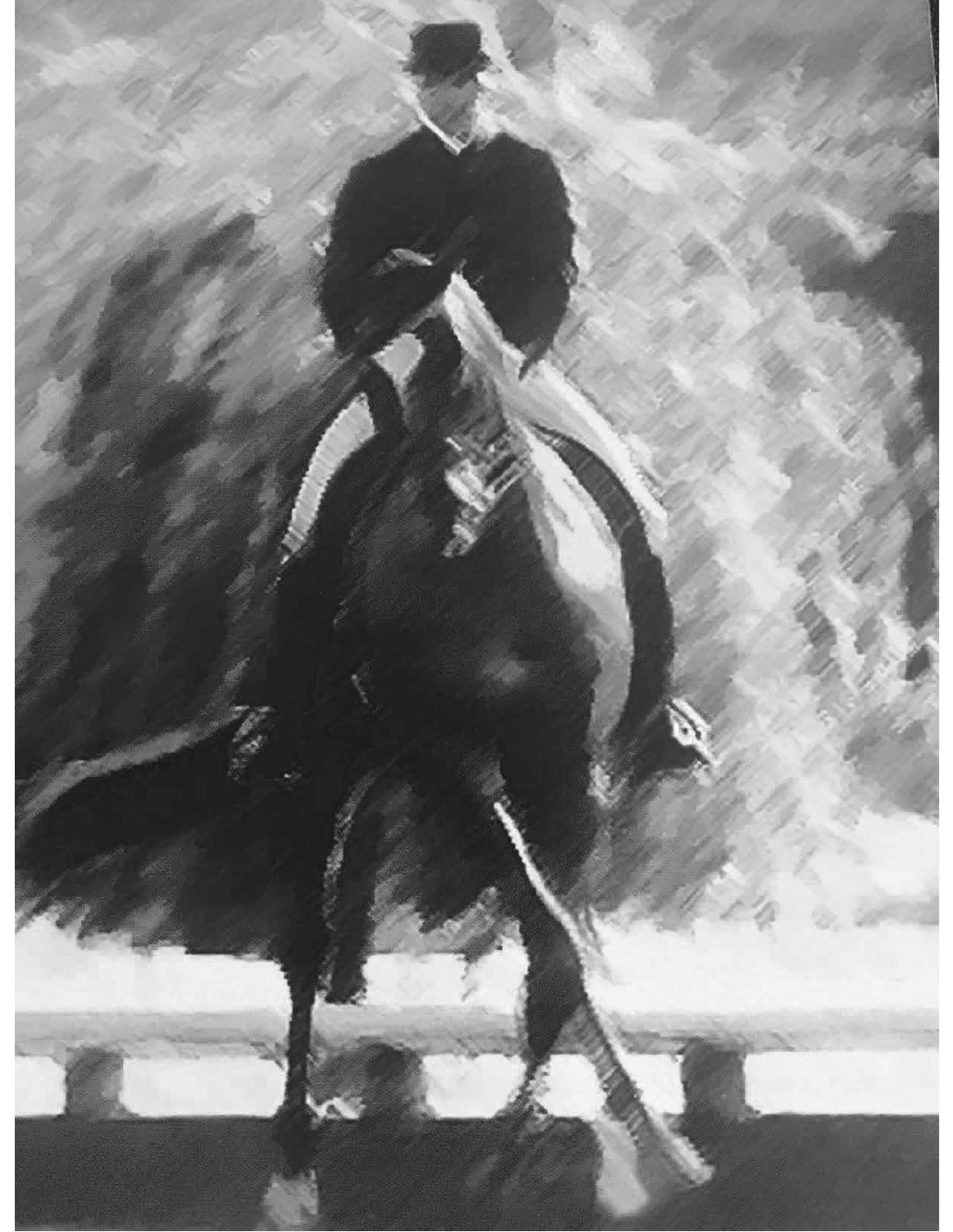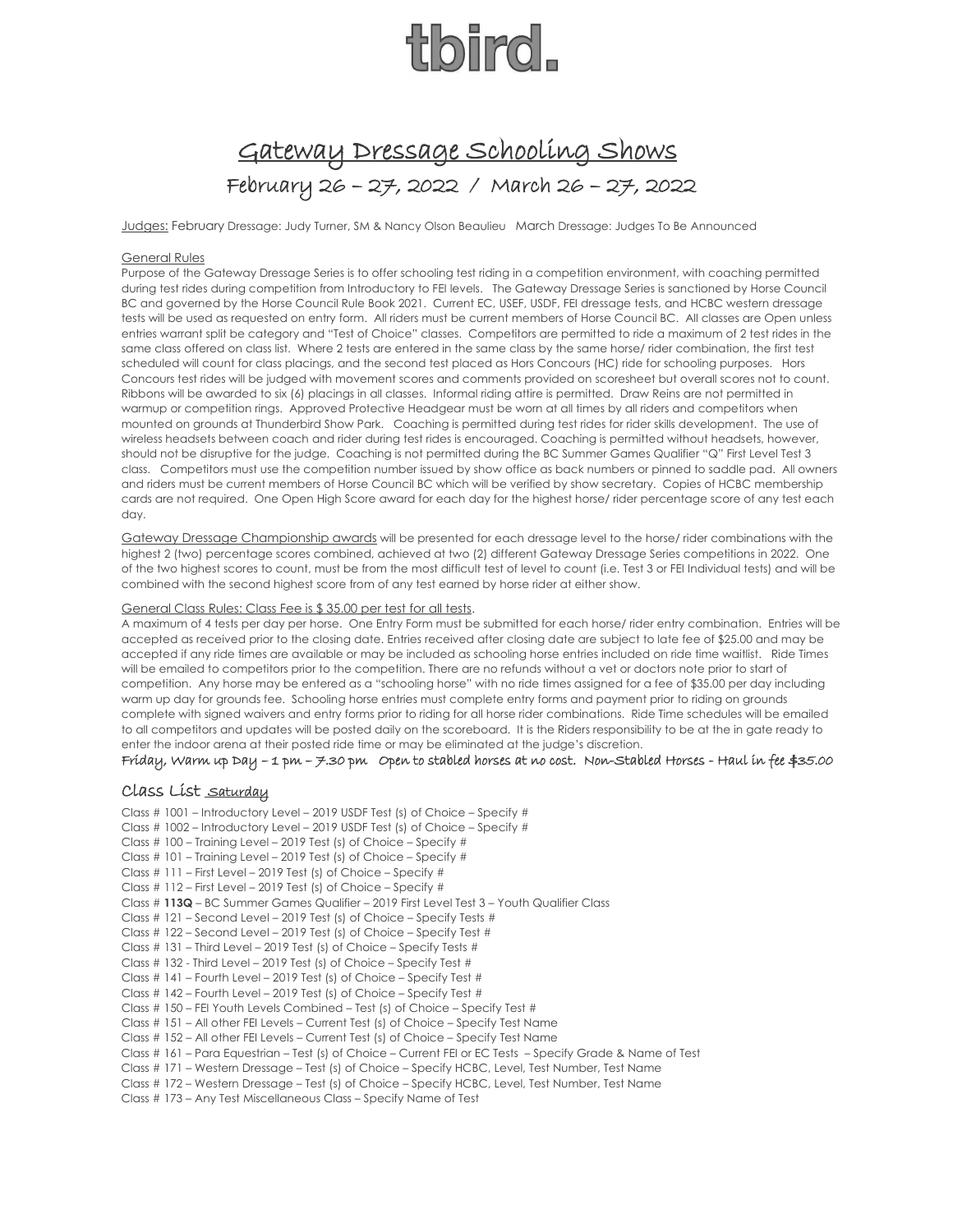# tbird.

### Gateway Dressage Schooling Shows February 26 – 27, 2022 / March 26 – 27, 2022

Judges: February Dressage: Judy Turner, SM & Nancy Olson Beaulieu March Dressage: Judges To Be Announced

#### General Rules

Purpose of the Gateway Dressage Series is to offer schooling test riding in a competition environment, with coaching permitted during test rides during competition from Introductory to FEI levels. The Gateway Dressage Series is sanctioned by Horse Council BC and governed by the Horse Council Rule Book 2021. Current EC, USEF, USDF, FEI dressage tests, and HCBC western dressage tests will be used as requested on entry form. All riders must be current members of Horse Council BC. All classes are Open unless entries warrant split be category and "Test of Choice" classes. Competitors are permitted to ride a maximum of 2 test rides in the same class offered on class list. Where 2 tests are entered in the same class by the same horse/ rider combination, the first test scheduled will count for class placings, and the second test placed as Hors Concours (HC) ride for schooling purposes. Hors Concours test rides will be judged with movement scores and comments provided on scoresheet but overall scores not to count. Ribbons will be awarded to six (6) placings in all classes. Informal riding attire is permitted. Draw Reins are not permitted in warmup or competition rings. Approved Protective Headgear must be worn at all times by all riders and competitors when mounted on grounds at Thunderbird Show Park. Coaching is permitted during test rides for rider skills development. The use of wireless headsets between coach and rider during test rides is encouraged. Coaching is permitted without headsets, however, should not be disruptive for the judge. Coaching is not permitted during the BC Summer Games Qualifier "Q" First Level Test 3 class. Competitors must use the competition number issued by show office as back numbers or pinned to saddle pad. All owners and riders must be current members of Horse Council BC which will be verified by show secretary. Copies of HCBC membership cards are not required. One Open High Score award for each day for the highest horse/ rider percentage score of any test each day.

Gateway Dressage Championship awards will be presented for each dressage level to the horse/ rider combinations with the highest 2 (two) percentage scores combined, achieved at two (2) different Gateway Dressage Series competitions in 2022. One of the two highest scores to count, must be from the most difficult test of level to count (i.e. Test 3 or FEI Individual tests) and will be combined with the second highest score from of any test earned by horse rider at either show.

#### General Class Rules: Class Fee is \$ 35.00 per test for all tests.

A maximum of 4 tests per day per horse. One Entry Form must be submitted for each horse/ rider entry combination. Entries will be accepted as received prior to the closing date. Entries received after closing date are subject to late fee of \$25.00 and may be accepted if any ride times are available or may be included as schooling horse entries included on ride time waitlist. Ride Times will be emailed to competitors prior to the competition. There are no refunds without a vet or doctors note prior to start of competition. Any horse may be entered as a "schooling horse" with no ride times assigned for a fee of \$35.00 per day including warm up day for grounds fee. Schooling horse entries must complete entry forms and payment prior to riding on grounds complete with signed waivers and entry forms prior to riding for all horse rider combinations. Ride Time schedules will be emailed to all competitors and updates will be posted daily on the scoreboard. It is the Riders responsibility to be at the in gate ready to enter the indoor arena at their posted ride time or may be eliminated at the judge's discretion.

Friday, Warm up Day – 1 pm – 7.30 pm Open to stabled horses at no cost. Non-Stabled Horses - Haul in fee \$35.00

#### Class List Saturday

Class # 1001 – Introductory Level – 2019 USDF Test (s) of Choice – Specify # Class # 1002 – Introductory Level – 2019 USDF Test (s) of Choice – Specify # Class # 100 – Training Level – 2019 Test (s) of Choice – Specify # Class # 101 – Training Level – 2019 Test (s) of Choice – Specify # Class # 111 – First Level – 2019 Test (s) of Choice – Specify # Class # 112 – First Level – 2019 Test (s) of Choice – Specify # Class # **113Q** – BC Summer Games Qualifier – 2019 First Level Test 3 – Youth Qualifier Class Class # 121 – Second Level – 2019 Test (s) of Choice – Specify Tests # Class # 122 – Second Level – 2019 Test (s) of Choice – Specify Test # Class # 131 – Third Level – 2019 Test (s) of Choice – Specify Tests # Class # 132 - Third Level – 2019 Test (s) of Choice – Specify Test # Class # 141 – Fourth Level – 2019 Test (s) of Choice – Specify Test # Class # 142 – Fourth Level – 2019 Test (s) of Choice – Specify Test # Class # 150 – FEI Youth Levels Combined – Test (s) of Choice – Specify Test # Class # 151 – All other FEI Levels – Current Test (s) of Choice – Specify Test Name Class # 152 – All other FEI Levels – Current Test (s) of Choice – Specify Test Name Class # 161 – Para Equestrian – Test (s) of Choice – Current FEI or EC Tests – Specify Grade & Name of Test Class # 171 – Western Dressage – Test (s) of Choice – Specify HCBC, Level, Test Number, Test Name Class # 172 – Western Dressage – Test (s) of Choice – Specify HCBC, Level, Test Number, Test Name Class # 173 – Any Test Miscellaneous Class – Specify Name of Test